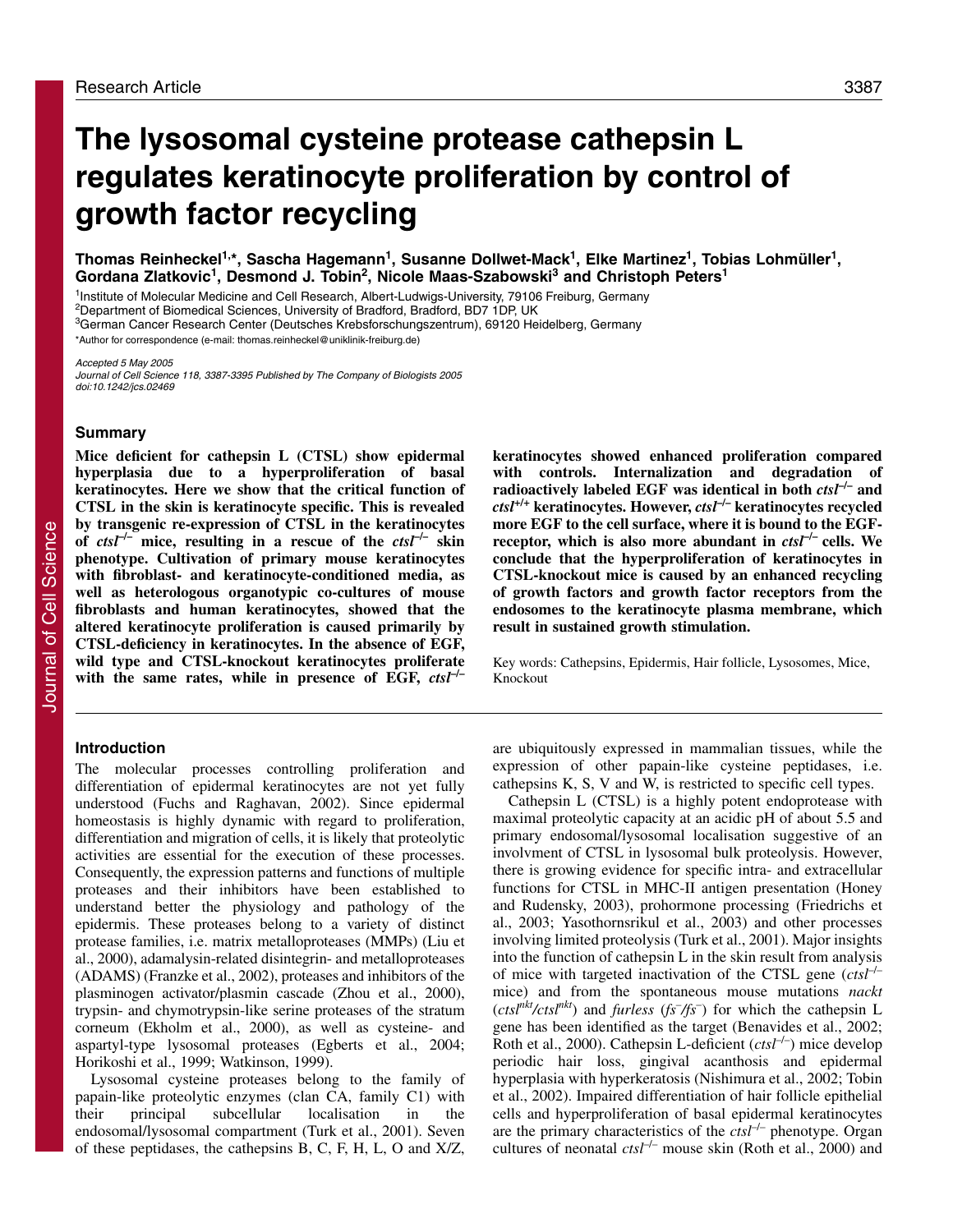# **The lysosomal cysteine protease cathepsin L regulates keratinocyte proliferation by control of growth factor recycling**

Thomas Reinheckel<sup>1,\*</sup>, Sascha Hagemann<sup>1</sup>, Susanne Dollwet-Mack<sup>1</sup>, Elke Martinez<sup>1</sup>, Tobias Lohmüller<sup>1</sup>, Gordana Zlatkovic<sup>1</sup>, Desmond J. Tobin<sup>2</sup>, Nicole Maas-Szabowski<sup>3</sup> and Christoph Peters<sup>1</sup>

<sup>1</sup>Institute of Molecular Medicine and Cell Research, Albert-Ludwigs-University, 79106 Freiburg, Germany

2Department of Biomedical Sciences, University of Bradford, Bradford, BD7 1DP, UK

3German Cancer Research Center (Deutsches Krebsforschungszentrum), 69120 Heidelberg, Germany

\*Author for correspondence (e-mail: thomas.reinheckel@uniklinik-freiburg.de)

Accepted 5 May 2005

Journal of Cell Science 118, 3387-3395 Published by The Company of Biologists 2005 doi:10.1242/jcs.02469

# **Summary**

**Mice deficient for cathepsin L (CTSL) show epidermal hyperplasia due to a hyperproliferation of basal keratinocytes. Here we show that the critical function of CTSL in the skin is keratinocyte specific. This is revealed by transgenic re-expression of CTSL in the keratinocytes** of  $ctsI^{-1}$  mice, resulting in a rescue of the  $ctsI^{-1}$  skin **phenotype. Cultivation of primary mouse keratinocytes with fibroblast- and keratinocyte-conditioned media, as well as heterologous organotypic co-cultures of mouse fibroblasts and human keratinocytes, showed that the altered keratinocyte proliferation is caused primarily by CTSL-deficiency in keratinocytes. In the absence of EGF, wild type and CTSL-knockout keratinocytes proliferate with the same rates, while in presence of EGF,** *ctsl***–/–**

# **Introduction**

The molecular processes controlling proliferation and differentiation of epidermal keratinocytes are not yet fully understood (Fuchs and Raghavan, 2002). Since epidermal homeostasis is highly dynamic with regard to proliferation, differentiation and migration of cells, it is likely that proteolytic activities are essential for the execution of these processes. Consequently, the expression patterns and functions of multiple proteases and their inhibitors have been established to understand better the physiology and pathology of the epidermis. These proteases belong to a variety of distinct protease families, i.e. matrix metalloproteases (MMPs) (Liu et al., 2000), adamalysin-related disintegrin- and metalloproteases (ADAMS) (Franzke et al., 2002), proteases and inhibitors of the plasminogen activator/plasmin cascade (Zhou et al., 2000), trypsin- and chymotrypsin-like serine proteases of the stratum corneum (Ekholm et al., 2000), as well as cysteine- and aspartyl-type lysosomal proteases (Egberts et al., 2004; Horikoshi et al., 1999; Watkinson, 1999).

Lysosomal cysteine proteases belong to the family of papain-like proteolytic enzymes (clan CA, family C1) with their principal subcellular localisation in the endosomal/lysosomal compartment (Turk et al., 2001). Seven of these peptidases, the cathepsins B, C, F, H, L, O and X/Z,

**keratinocytes showed enhanced proliferation compared with controls. Internalization and degradation of radioactively labeled EGF was identical in both** *ctsl***–/– and** *ctsl***+/+ keratinocytes. However,** *ctsl***–/– keratinocytes recycled more EGF to the cell surface, where it is bound to the EGFreceptor, which is also more abundant in** *ctsl***–/– cells. We conclude that the hyperproliferation of keratinocytes in CTSL-knockout mice is caused by an enhanced recycling of growth factors and growth factor receptors from the endosomes to the keratinocyte plasma membrane, which result in sustained growth stimulation.**

Key words: Cathepsins, Epidermis, Hair follicle, Lysosomes, Mice, Knockout

are ubiquitously expressed in mammalian tissues, while the expression of other papain-like cysteine peptidases, i.e. cathepsins K, S, V and W, is restricted to specific cell types.

Cathepsin L (CTSL) is a highly potent endoprotease with maximal proteolytic capacity at an acidic pH of about 5.5 and primary endosomal/lysosomal localisation suggestive of an involvment of CTSL in lysosomal bulk proteolysis. However, there is growing evidence for specific intra- and extracellular functions for CTSL in MHC-II antigen presentation (Honey and Rudensky, 2003), prohormone processing (Friedrichs et al., 2003; Yasothornsrikul et al., 2003) and other processes involving limited proteolysis (Turk et al., 2001). Major insights into the function of cathepsin L in the skin result from analysis of mice with targeted inactivation of the CTSL gene (*ctsl*–/– mice) and from the spontaneous mouse mutations *nackt* (*ctslnkt/ctslnkt*) and *furless* (*fs– /fs*– ) for which the cathepsin L gene has been identified as the target (Benavides et al., 2002; Roth et al., 2000). Cathepsin L-deficient (*ctsl<sup>-/-</sup>*) mice develop periodic hair loss, gingival acanthosis and epidermal hyperplasia with hyperkeratosis (Nishimura et al., 2002; Tobin et al., 2002). Impaired differentiation of hair follicle epithelial cells and hyperproliferation of basal epidermal keratinocytes are the primary characteristics of the *ctsl*–/– phenotype. Organ cultures of neonatal *ctsl*–/– mouse skin (Roth et al., 2000) and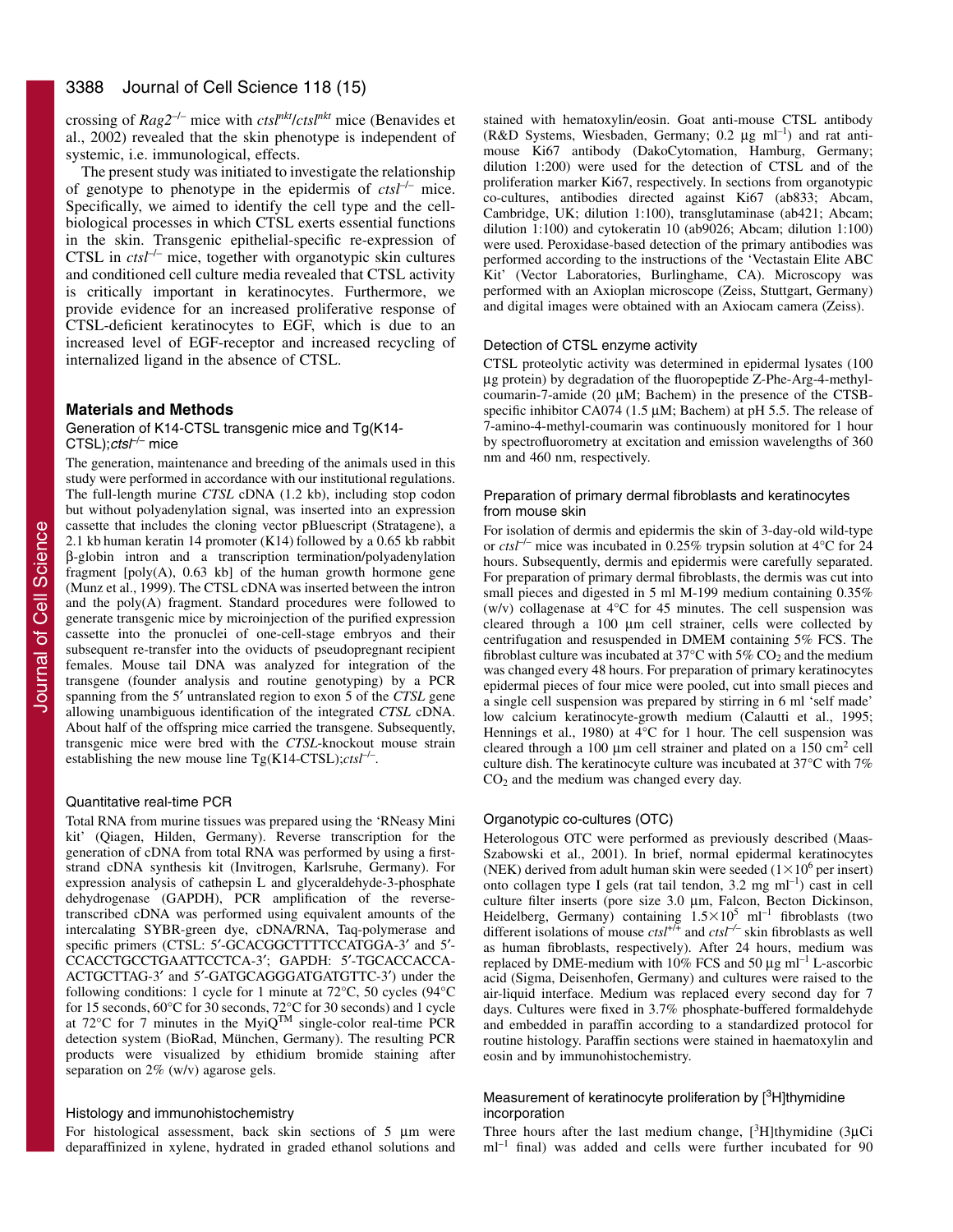crossing of *Rag2*–/– mice with *ctslnkt*/*ctslnkt* mice (Benavides et al., 2002) revealed that the skin phenotype is independent of systemic, i.e. immunological, effects.

The present study was initiated to investigate the relationship of genotype to phenotype in the epidermis of  $ctsI^{-/-}$  mice. Specifically, we aimed to identify the cell type and the cellbiological processes in which CTSL exerts essential functions in the skin. Transgenic epithelial-specific re-expression of CTSL in *ctsl<sup>-/-</sup>* mice, together with organotypic skin cultures and conditioned cell culture media revealed that CTSL activity is critically important in keratinocytes. Furthermore, we provide evidence for an increased proliferative response of CTSL-deficient keratinocytes to EGF, which is due to an increased level of EGF-receptor and increased recycling of internalized ligand in the absence of CTSL.

# **Materials and Methods**

## Generation of K14-CTSL transgenic mice and Tg(K14-  $CTSL$ );*ctsl<sup>-/–</sup>* mice

The generation, maintenance and breeding of the animals used in this study were performed in accordance with our institutional regulations. The full-length murine *CTSL* cDNA (1.2 kb), including stop codon but without polyadenylation signal, was inserted into an expression cassette that includes the cloning vector pBluescript (Stratagene), a 2.1 kb human keratin 14 promoter (K14) followed by a 0.65 kb rabbit β-globin intron and a transcription termination/polyadenylation fragment [poly(A), 0.63 kb] of the human growth hormone gene (Munz et al., 1999). The CTSL cDNA was inserted between the intron and the poly(A) fragment. Standard procedures were followed to generate transgenic mice by microinjection of the purified expression cassette into the pronuclei of one-cell-stage embryos and their subsequent re-transfer into the oviducts of pseudopregnant recipient females. Mouse tail DNA was analyzed for integration of the transgene (founder analysis and routine genotyping) by a PCR spanning from the 5′ untranslated region to exon 5 of the *CTSL* gene allowing unambiguous identification of the integrated *CTSL* cDNA. About half of the offspring mice carried the transgene. Subsequently, transgenic mice were bred with the *CTSL*-knockout mouse strain establishing the new mouse line  $Tg(K14-CTSL);ctsI^{-/-}$ .

## Quantitative real-time PCR

Total RNA from murine tissues was prepared using the 'RNeasy Mini kit' (Qiagen, Hilden, Germany). Reverse transcription for the generation of cDNA from total RNA was performed by using a firststrand cDNA synthesis kit (Invitrogen, Karlsruhe, Germany). For expression analysis of cathepsin L and glyceraldehyde-3-phosphate dehydrogenase (GAPDH), PCR amplification of the reversetranscribed cDNA was performed using equivalent amounts of the intercalating SYBR-green dye, cDNA/RNA, Taq-polymerase and specific primers (CTSL: 5'-GCACGGCTTTTCCATGGA-3' and 5'-CCACCTGCCTGAATTCCTCA-3′; GAPDH: 5′-TGCACCACCA-ACTGCTTAG-3′ and 5′-GATGCAGGGATGATGTTC-3′) under the following conditions: 1 cycle for 1 minute at 72°C, 50 cycles (94°C for 15 seconds, 60°C for 30 seconds, 72°C for 30 seconds) and 1 cycle at 72 $^{\circ}$ C for 7 minutes in the MyiQ<sup>TM</sup> single-color real-time PCR detection system (BioRad, München, Germany). The resulting PCR products were visualized by ethidium bromide staining after separation on 2% (w/v) agarose gels.

# Histology and immunohistochemistry

For histological assessment, back skin sections of 5 μm were deparaffinized in xylene, hydrated in graded ethanol solutions and stained with hematoxylin/eosin. Goat anti-mouse CTSL antibody (R&D Systems, Wiesbaden, Germany; 0.2  $\mu$ g ml<sup>-1</sup>) and rat antimouse Ki67 antibody (DakoCytomation, Hamburg, Germany; dilution 1:200) were used for the detection of CTSL and of the proliferation marker Ki67, respectively. In sections from organotypic co-cultures, antibodies directed against Ki67 (ab833; Abcam, Cambridge, UK; dilution 1:100), transglutaminase (ab421; Abcam; dilution 1:100) and cytokeratin 10 (ab9026; Abcam; dilution 1:100) were used. Peroxidase-based detection of the primary antibodies was performed according to the instructions of the 'Vectastain Elite ABC Kit' (Vector Laboratories, Burlinghame, CA). Microscopy was performed with an Axioplan microscope (Zeiss, Stuttgart, Germany) and digital images were obtained with an Axiocam camera (Zeiss).

#### Detection of CTSL enzyme activity

CTSL proteolytic activity was determined in epidermal lysates (100 μg protein) by degradation of the fluoropeptide Z-Phe-Arg-4-methylcoumarin-7-amide (20 μM; Bachem) in the presence of the CTSBspecific inhibitor CA074 (1.5 μM; Bachem) at pH 5.5. The release of 7-amino-4-methyl-coumarin was continuously monitored for 1 hour by spectrofluorometry at excitation and emission wavelengths of 360 nm and 460 nm, respectively.

## Preparation of primary dermal fibroblasts and keratinocytes from mouse skin

For isolation of dermis and epidermis the skin of 3-day-old wild-type or *ctsl*–/– mice was incubated in 0.25% trypsin solution at 4°C for 24 hours. Subsequently, dermis and epidermis were carefully separated. For preparation of primary dermal fibroblasts, the dermis was cut into small pieces and digested in 5 ml M-199 medium containing 0.35% (w/v) collagenase at 4°C for 45 minutes. The cell suspension was cleared through a 100 μm cell strainer, cells were collected by centrifugation and resuspended in DMEM containing 5% FCS. The fibroblast culture was incubated at 37 $^{\circ}$ C with 5% CO<sub>2</sub> and the medium was changed every 48 hours. For preparation of primary keratinocytes epidermal pieces of four mice were pooled, cut into small pieces and a single cell suspension was prepared by stirring in 6 ml 'self made' low calcium keratinocyte-growth medium (Calautti et al., 1995; Hennings et al., 1980) at 4°C for 1 hour. The cell suspension was cleared through a 100  $\mu$ m cell strainer and plated on a 150 cm<sup>2</sup> cell culture dish. The keratinocyte culture was incubated at 37°C with 7%  $CO<sub>2</sub>$  and the medium was changed every day.

# Organotypic co-cultures (OTC)

Heterologous OTC were performed as previously described (Maas-Szabowski et al., 2001). In brief, normal epidermal keratinocytes (NEK) derived from adult human skin were seeded  $(1 \times 10^6$  per insert) onto collagen type I gels (rat tail tendon, 3.2 mg ml–1) cast in cell culture filter inserts (pore size 3.0 μm, Falcon, Becton Dickinson, Heidelberg, Germany) containing  $1.5 \times 10^5$  ml<sup>-1</sup> fibroblasts (two different isolations of mouse  $\text{ctsl}^{+/+}$  and  $\text{ctsl}^{-/-}$  skin fibroblasts as well as human fibroblasts, respectively). After 24 hours, medium was replaced by DME-medium with  $10\%$  FCS and 50  $\mu$ g ml<sup>-1</sup> L-ascorbic acid (Sigma, Deisenhofen, Germany) and cultures were raised to the air-liquid interface. Medium was replaced every second day for 7 days. Cultures were fixed in 3.7% phosphate-buffered formaldehyde and embedded in paraffin according to a standardized protocol for routine histology. Paraffin sections were stained in haematoxylin and eosin and by immunohistochemistry.

# Measurement of keratinocyte proliferation by  $[3H]$ thymidine incorporation

Three hours after the last medium change,  $[^{3}H]$ thymidine (3µCi  $ml^{-1}$  final) was added and cells were further incubated for 90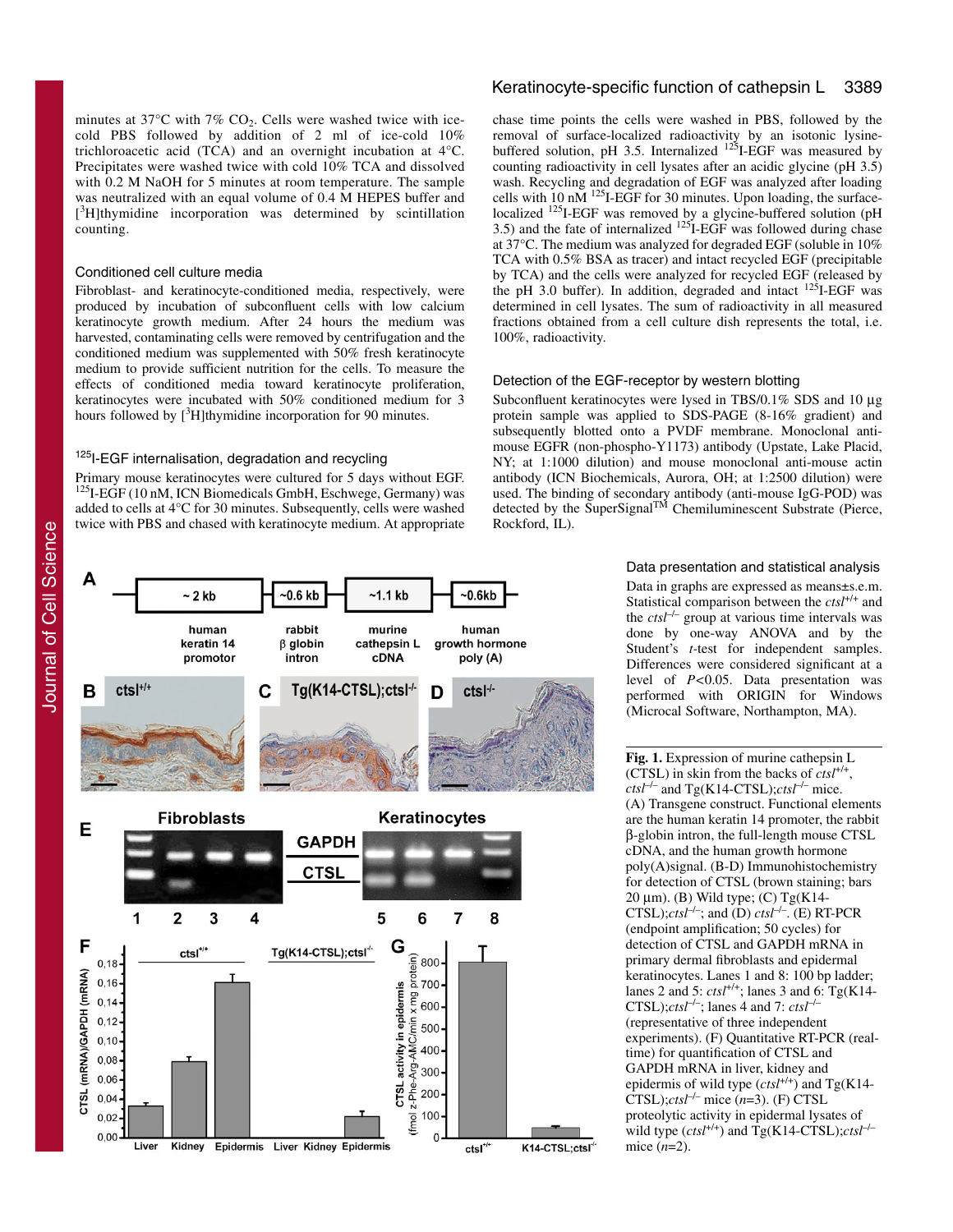minutes at  $37^{\circ}$ C with  $7\%$  CO<sub>2</sub>. Cells were washed twice with icecold PBS followed by addition of 2 ml of ice-cold 10% trichloroacetic acid (TCA) and an overnight incubation at 4°C. Precipitates were washed twice with cold 10% TCA and dissolved with 0.2 M NaOH for 5 minutes at room temperature. The sample was neutralized with an equal volume of 0.4 M HEPES buffer and [<sup>3</sup>H]thymidine incorporation was determined by scintillation counting.

# Conditioned cell culture media

Fibroblast- and keratinocyte-conditioned media, respectively, were produced by incubation of subconfluent cells with low calcium keratinocyte growth medium. After 24 hours the medium was harvested, contaminating cells were removed by centrifugation and the conditioned medium was supplemented with 50% fresh keratinocyte medium to provide sufficient nutrition for the cells. To measure the effects of conditioned media toward keratinocyte proliferation, keratinocytes were incubated with 50% conditioned medium for 3 hours followed by  $[3H]$ thymidine incorporation for 90 minutes.

# <sup>125</sup>I-EGF internalisation, degradation and recycling

Primary mouse keratinocytes were cultured for 5 days without EGF. 125I-EGF (10 nM, ICN Biomedicals GmbH, Eschwege, Germany) was added to cells at 4°C for 30 minutes. Subsequently, cells were washed twice with PBS and chased with keratinocyte medium. At appropriate

# Keratinocyte-specific function of cathepsin L 3389

chase time points the cells were washed in PBS, followed by the removal of surface-localized radioactivity by an isotonic lysinebuffered solution, pH 3.5. Internalized <sup>125</sup>I-EGF was measured by counting radioactivity in cell lysates after an acidic glycine (pH 3.5) wash. Recycling and degradation of EGF was analyzed after loading cells with 10 nM  $^{125}$ I-EGF for 30 minutes. Upon loading, the surfacelocalized <sup>125</sup>I-EGF was removed by a glycine-buffered solution (pH  $3.5$ ) and the fate of internalized  $125$ I-EGF was followed during chase at 37°C. The medium was analyzed for degraded EGF (soluble in 10% TCA with 0.5% BSA as tracer) and intact recycled EGF (precipitable by TCA) and the cells were analyzed for recycled EGF (released by the pH 3.0 buffer). In addition, degraded and intact <sup>125</sup>I-EGF was determined in cell lysates. The sum of radioactivity in all measured fractions obtained from a cell culture dish represents the total, i.e. 100%, radioactivity.

#### Detection of the EGF-receptor by western blotting

Subconfluent keratinocytes were lysed in TBS/0.1% SDS and 10 μg protein sample was applied to SDS-PAGE (8-16% gradient) and subsequently blotted onto a PVDF membrane. Monoclonal antimouse EGFR (non-phospho-Y1173) antibody (Upstate, Lake Placid, NY; at 1:1000 dilution) and mouse monoclonal anti-mouse actin antibody (ICN Biochemicals, Aurora, OH; at 1:2500 dilution) were used. The binding of secondary antibody (anti-mouse IgG-POD) was detected by the SuperSignal<sup>TM</sup> Chemiluminescent Substrate (Pierce, Rockford, IL).

#### $-0.6$  kb  $-0.6kb$  $~2$  kb  $~1.1$  kb human rabbit murine human keratin 14  $\beta$  globin cathepsin L growth hormone promotor **cDNA** intron poly (A)  $ctsI^{+/+}$ Tg(K14-CTSL);ctsl<sup>-/-</sup> B C ctsl<sup>-/-</sup> D **Fibroblasts** Keratinocytes Е **GAPDH CTSI**  $\mathbf{2}$ 3  $\overline{\mathbf{4}}$ 5 6  $\overline{7}$ 8 1 F G  $ctsl^{\ast/}$ Tg(K14-CTSL);ctsl<sup>4</sup> ie<br>
a 800<br>
F 600<br>
F 600  $0.18$ CTSL (mRNA)/GAPDH (mRNA)  $0, 16$ in epidermis  $0,14$  $0, 12$ Arg-AMC/min 500  $0, 10$ CTSL activity 400  $0,08$ 300  $0,06$ (fmol z-Phe 200  $0,04$ 100  $0,02$  $0,00$  $\Omega$ Kidney Epidermis Liver Kidney Epidermis Liver K14-CTSL;ctsl  $ctsl<sup>+/</sup>$

Data presentation and statistical analysis

Data in graphs are expressed as means±s.e.m. Statistical comparison between the *ctsl*+/+ and the *ctsl*–/– group at various time intervals was done by one-way ANOVA and by the Student's *t-*test for independent samples. Differences were considered significant at a level of *P<*0.05. Data presentation was performed with ORIGIN for Windows (Microcal Software, Northampton, MA).

**Fig. 1.** Expression of murine cathepsin L (CTSL) in skin from the backs of  $ctsI^{+/+}$ ,  $ctsl^{-/-}$  and Tg(K14-CTSL); $ctsl^{-/-}$  mice. (A) Transgene construct. Functional elements are the human keratin 14 promoter, the rabbit β-globin intron, the full-length mouse CTSL cDNA, and the human growth hormone poly(A)signal. (B-D) Immunohistochemistry for detection of CTSL (brown staining; bars 20 μm). (B) Wild type; (C)  $Tg(K14-$ CTSL); $ctsI^{-/-}$ ; and (D)  $ctsI^{-/-}$ . (E) RT-PCR (endpoint amplification; 50 cycles) for detection of CTSL and GAPDH mRNA in primary dermal fibroblasts and epidermal keratinocytes. Lanes 1 and 8: 100 bp ladder; lanes 2 and 5: *ctsl*+/+; lanes 3 and 6: Tg(K14- CTSL); $ctsI^{-/-}$ ; lanes 4 and 7:  $ctsI^{-/-}$ (representative of three independent experiments). (F) Quantitative RT-PCR (realtime) for quantification of CTSL and GAPDH mRNA in liver, kidney and epidermis of wild type (*ctsl*+/+) and Tg(K14-  $\text{CTSL}$ );*ctsl<sup>-/–</sup>* mice  $(n=3)$ . (F) CTSL proteolytic activity in epidermal lysates of wild type  $(ctsl^{+/+})$  and  $Tg(K14-CTSL); ctsl^{-/-}$ mice (*n*=2).

A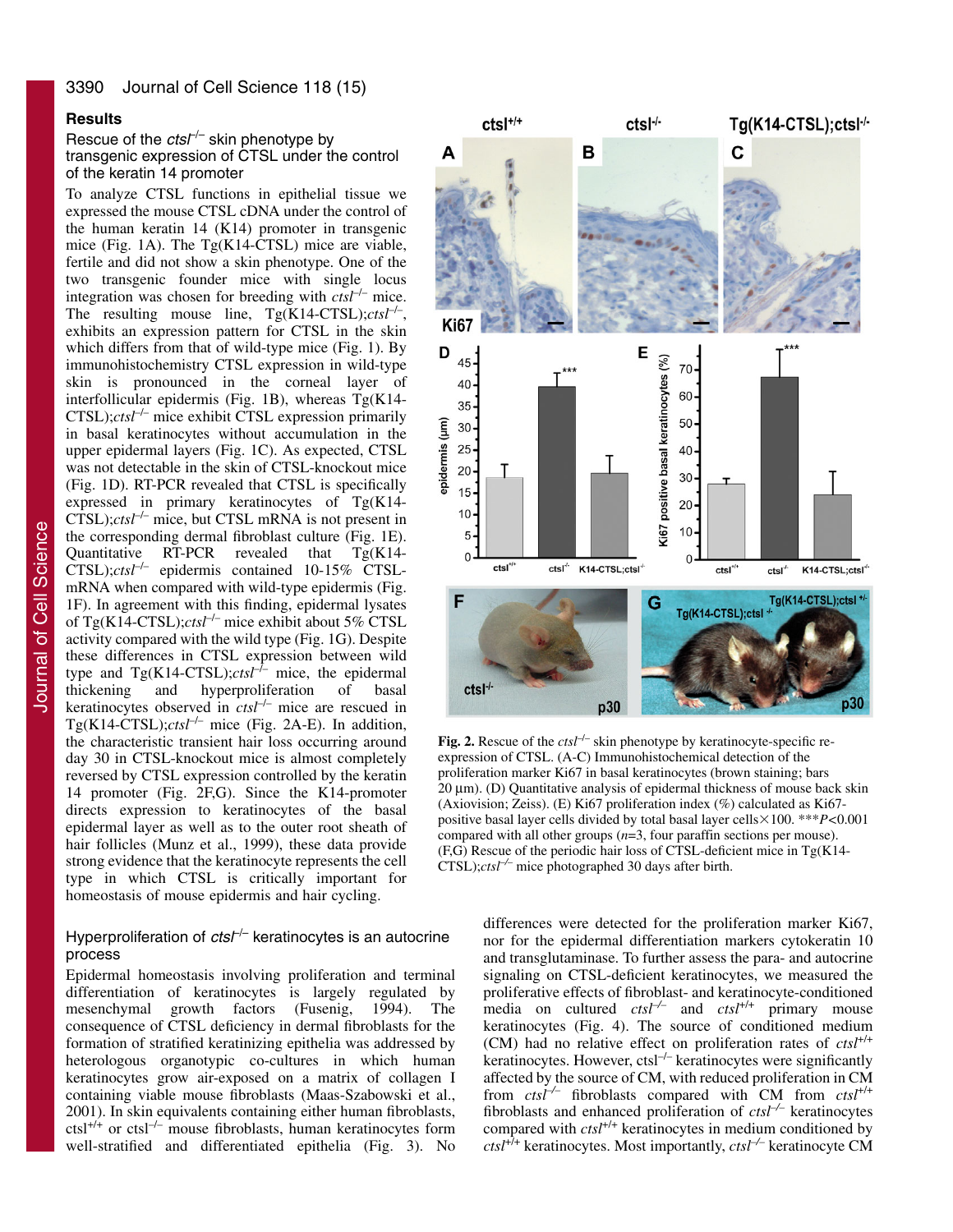# **Results**

Rescue of the  $ctsr<sup>-/-</sup>$  skin phenotype by transgenic expression of CTSL under the control of the keratin 14 promoter

To analyze CTSL functions in epithelial tissue we expressed the mouse CTSL cDNA under the control of the human keratin 14 (K14) promoter in transgenic mice (Fig. 1A). The Tg(K14-CTSL) mice are viable, fertile and did not show a skin phenotype. One of the two transgenic founder mice with single locus integration was chosen for breeding with *ctsl<sup>-/-</sup>* mice. The resulting mouse line, Tg(K14-CTSL);*ctsl<sup>-/-</sup>*, exhibits an expression pattern for CTSL in the skin which differs from that of wild-type mice (Fig. 1). By immunohistochemistry CTSL expression in wild-type skin is pronounced in the corneal layer of interfollicular epidermis (Fig. 1B), whereas Tg(K14- CTSL);*ctsl*–/– mice exhibit CTSL expression primarily in basal keratinocytes without accumulation in the upper epidermal layers (Fig. 1C). As expected, CTSL was not detectable in the skin of CTSL-knockout mice (Fig. 1D). RT-PCR revealed that CTSL is specifically expressed in primary keratinocytes of Tg(K14-  $CTSL$ ); $ctsI^{-/-}$  mice, but CTSL mRNA is not present in the corresponding dermal fibroblast culture (Fig. 1E). Quantitative RT-PCR revealed that Tg(K14-  $CTSL$ ); $ctsl^{-/-}$  epidermis contained 10-15% CTSLmRNA when compared with wild-type epidermis (Fig. 1F). In agreement with this finding, epidermal lysates of Tg(K14-CTSL);*ctsl*–/– mice exhibit about 5% CTSL activity compared with the wild type (Fig. 1G). Despite these differences in CTSL expression between wild type and  $Tg(K14-CTSL);ctst^{-1}$  mice, the epidermal thickening and hyperproliferation of basal thickening and hyperproliferation of basal keratinocytes observed in *ctsl*–/– mice are rescued in Tg(K14-CTSL); $ctsI^{-/-}$  mice (Fig. 2A-E). In addition, the characteristic transient hair loss occurring around day 30 in CTSL-knockout mice is almost completely reversed by CTSL expression controlled by the keratin 14 promoter (Fig. 2F,G). Since the K14-promoter directs expression to keratinocytes of the basal epidermal layer as well as to the outer root sheath of hair follicles (Munz et al., 1999), these data provide strong evidence that the keratinocyte represents the cell type in which CTSL is critically important for homeostasis of mouse epidermis and hair cycling.

# Hyperproliferation of  $ctsf^{-}$  keratinocytes is an autocrine process

Epidermal homeostasis involving proliferation and terminal differentiation of keratinocytes is largely regulated by mesenchymal growth factors (Fusenig, 1994). The consequence of CTSL deficiency in dermal fibroblasts for the formation of stratified keratinizing epithelia was addressed by heterologous organotypic co-cultures in which human keratinocytes grow air-exposed on a matrix of collagen I containing viable mouse fibroblasts (Maas-Szabowski et al., 2001). In skin equivalents containing either human fibroblasts,  $\text{cts1}^{+/+}$  or  $\text{cts1}^{-/-}$  mouse fibroblasts, human keratinocytes form well-stratified and differentiated epithelia (Fig. 3). No



Fig. 2. Rescue of the *ctsl<sup>-/-</sup>* skin phenotype by keratinocyte-specific reexpression of CTSL. (A-C) Immunohistochemical detection of the proliferation marker Ki67 in basal keratinocytes (brown staining; bars 20 μm). (D) Quantitative analysis of epidermal thickness of mouse back skin (Axiovision; Zeiss). (E) Ki67 proliferation index (%) calculated as Ki67 positive basal layer cells divided by total basal layer cells-100. \*\*\**P<*0.001 compared with all other groups (*n*=3, four paraffin sections per mouse).  $(F.G)$  Rescue of the periodic hair loss of CTSL-deficient mice in  $Tg(K14-$ CTSL);*ctsl–/–* mice photographed 30 days after birth.

differences were detected for the proliferation marker Ki67, nor for the epidermal differentiation markers cytokeratin 10 and transglutaminase. To further assess the para- and autocrine signaling on CTSL-deficient keratinocytes, we measured the proliferative effects of fibroblast- and keratinocyte-conditioned media on cultured *ctsl–/–* and *ctsl*+/+ primary mouse keratinocytes (Fig. 4). The source of conditioned medium (CM) had no relative effect on proliferation rates of *ctsl*+/+ keratinocytes. However, ctsl<sup>-/-</sup> keratinocytes were significantly affected by the source of CM, with reduced proliferation in CM from *ctsl–/–* fibroblasts compared with CM from *ctsl*+/+ fibroblasts and enhanced proliferation of *ctsl–/–* keratinocytes compared with *ctsl*<sup>+/+</sup> keratinocytes in medium conditioned by *ctsl*+/+ keratinocytes. Most importantly, *ctsl–/–* keratinocyte CM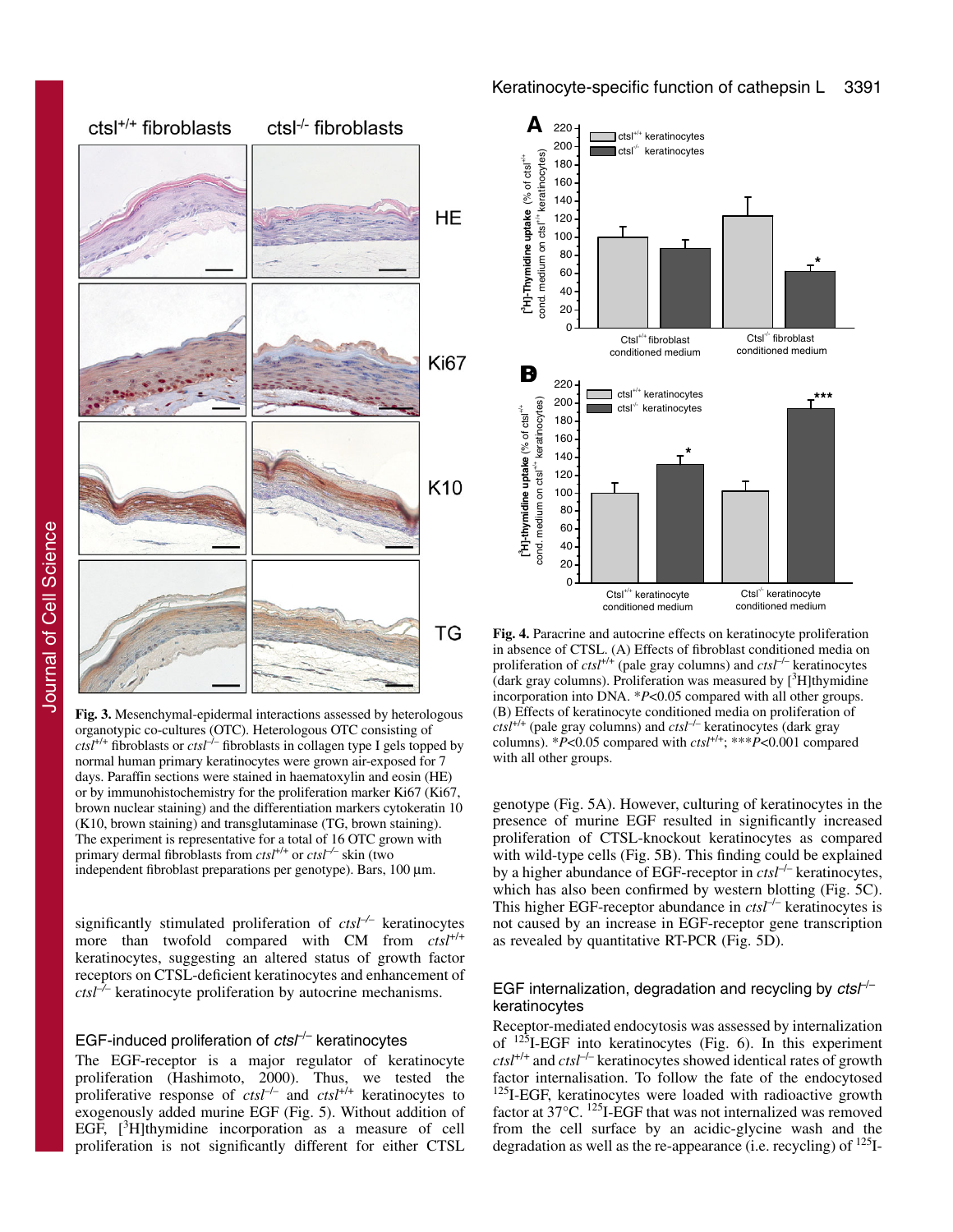

Journal of Cell Science Journal of Cell Science

**Fig. 3.** Mesenchymal-epidermal interactions assessed by heterologous organotypic co-cultures (OTC). Heterologous OTC consisting of  $cts<sup>1</sup>'+$  fibroblasts or  $cts<sup>1</sup>-$  fibroblasts in collagen type I gels topped by normal human primary keratinocytes were grown air-exposed for 7 days. Paraffin sections were stained in haematoxylin and eosin (HE) or by immunohistochemistry for the proliferation marker Ki67 (Ki67, brown nuclear staining) and the differentiation markers cytokeratin 10 (K10, brown staining) and transglutaminase (TG, brown staining). The experiment is representative for a total of 16 OTC grown with primary dermal fibroblasts from *ctsl*<sup>+/+</sup> or *ctsl*<sup>-/-</sup> skin (two independent fibroblast preparations per genotype). Bars, 100 μm.

significantly stimulated proliferation of *ctsl–/–* keratinocytes more than twofold compared with CM from  $cts l^{+/+}$ keratinocytes, suggesting an altered status of growth factor receptors on CTSL-deficient keratinocytes and enhancement of *ctsl–/–* keratinocyte proliferation by autocrine mechanisms.

# EGF-induced proliferation of  $ctsF<sup>-</sup>$  keratinocytes

The EGF-receptor is a major regulator of keratinocyte proliferation (Hashimoto, 2000). Thus, we tested the proliferative response of *ctsl*–/– and *ctsl*+/+ keratinocytes to exogenously added murine EGF (Fig. 5). Without addition of EGF, [<sup>3</sup>H]thymidine incorporation as a measure of cell proliferation is not significantly different for either CTSL



**Fig. 4.** Paracrine and autocrine effects on keratinocyte proliferation in absence of CTSL. (A) Effects of fibroblast conditioned media on proliferation of *ctsl*+/+ (pale gray columns) and *ctsl*–/– keratinocytes (dark gray columns). Proliferation was measured by  $[^{3}H]$ thymidine incorporation into DNA. \**P*<0.05 compared with all other groups. (B) Effects of keratinocyte conditioned media on proliferation of  $\frac{c \cdot t}{s}$  (pale gray columns) and  $\frac{c \cdot t}{s}$  keratinocytes (dark gray columns).  $*P<0.05$  compared with  $cts<sup>+/+</sup>; **P<0.001$  compared with all other groups.

genotype (Fig. 5A). However, culturing of keratinocytes in the presence of murine EGF resulted in significantly increased proliferation of CTSL-knockout keratinocytes as compared with wild-type cells (Fig. 5B). This finding could be explained by a higher abundance of EGF-receptor in *ctsl*–/– keratinocytes, which has also been confirmed by western blotting (Fig. 5C). This higher EGF-receptor abundance in *ctsl<sup>-/-</sup>* keratinocytes is not caused by an increase in EGF-receptor gene transcription as revealed by quantitative RT-PCR (Fig. 5D).

# EGF internalization, degradation and recycling by  $ctsf^{-}$ keratinocytes

Receptor-mediated endocytosis was assessed by internalization of  $125$ I-EGF into keratinocytes (Fig. 6). In this experiment  $ctst<sup>+/+</sup> and  $ctst<sup>-/-</sup>$  keratinocytes showed identical rates of growth$ factor internalisation. To follow the fate of the endocytosed <sup>125</sup>I-EGF, keratinocytes were loaded with radioactive growth factor at 37°C. 125I-EGF that was not internalized was removed from the cell surface by an acidic-glycine wash and the degradation as well as the re-appearance (i.e. recycling) of  $^{125}$ I-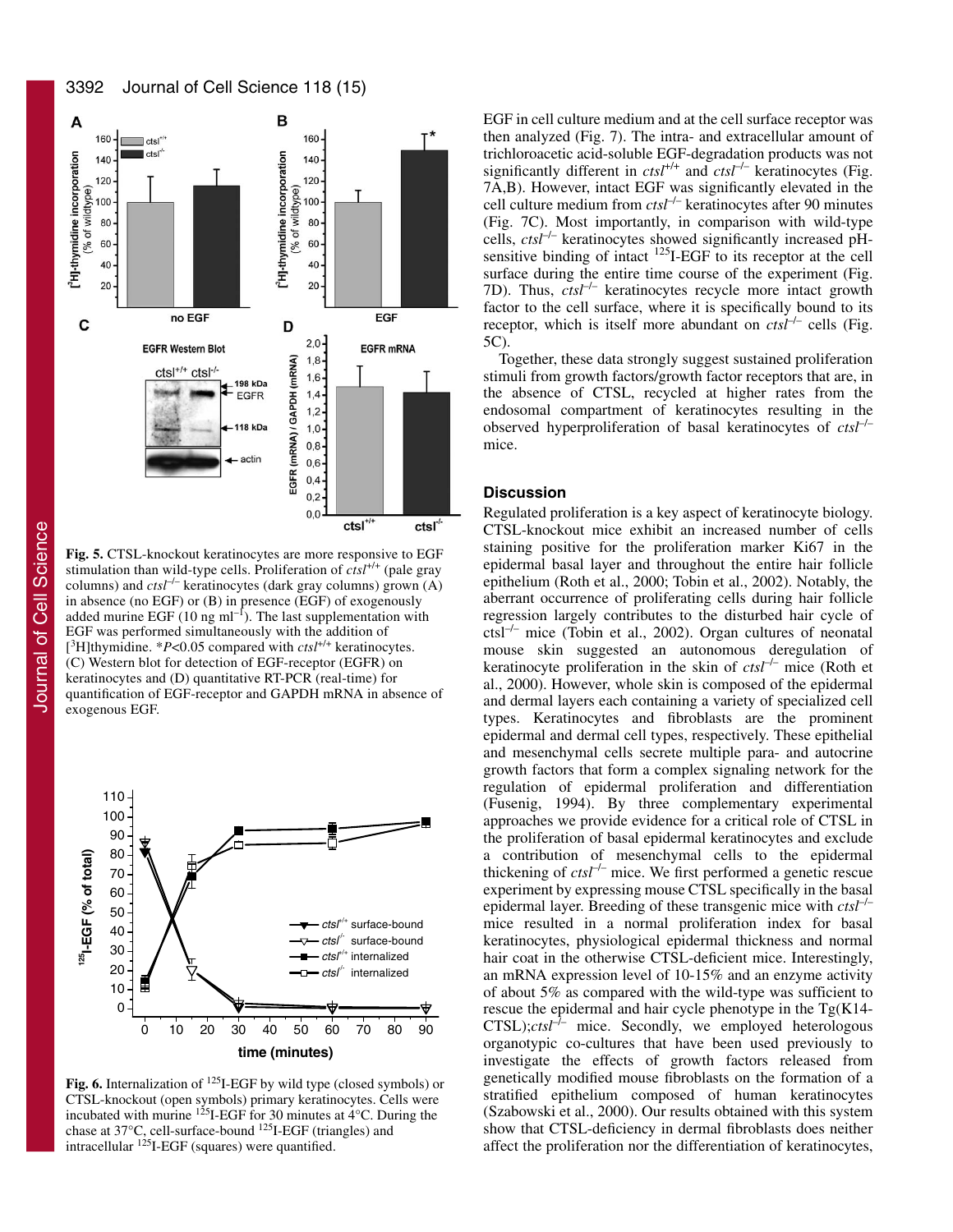3392 Journal of Cell Science 118 (15)



**Fig. 5.** CTSL-knockout keratinocytes are more responsive to EGF stimulation than wild-type cells. Proliferation of *ctsl*+/+ (pale gray columns) and *ctsl<sup>-/-</sup>* keratinocytes (dark gray columns) grown (A) in absence (no EGF) or (B) in presence (EGF) of exogenously added murine EGF (10 ng ml<sup>-1</sup>). The last supplementation with EGF was performed simultaneously with the addition of [<sup>3</sup>H]thymidine. \*P<0.05 compared with *ctsl*<sup>+/+</sup> keratinocytes. (C) Western blot for detection of EGF-receptor (EGFR) on keratinocytes and (D) quantitative RT-PCR (real-time) for quantification of EGF-receptor and GAPDH mRNA in absence of exogenous EGF.



**Fig. 6.** Internalization of <sup>125</sup>I-EGF by wild type (closed symbols) or CTSL-knockout (open symbols) primary keratinocytes. Cells were incubated with murine  $125$ I-EGF for 30 minutes at  $4^{\circ}$ C. During the chase at 37°C, cell-surface-bound 125I-EGF (triangles) and intracellular  $125$ I-EGF (squares) were quantified.

EGF in cell culture medium and at the cell surface receptor was then analyzed (Fig. 7). The intra- and extracellular amount of trichloroacetic acid-soluble EGF-degradation products was not significantly different in *ctsl*<sup>+/+</sup> and *ctsl*<sup>-/-</sup> keratinocytes (Fig. 7A,B). However, intact EGF was significantly elevated in the cell culture medium from *ctsl*–/– keratinocytes after 90 minutes (Fig. 7C). Most importantly, in comparison with wild-type cells, *ctsl*–/– keratinocytes showed significantly increased pHsensitive binding of intact <sup>125</sup>I-EGF to its receptor at the cell surface during the entire time course of the experiment (Fig. 7D). Thus,  $ctsI^{-/-}$  keratinocytes recycle more intact growth factor to the cell surface, where it is specifically bound to its receptor, which is itself more abundant on  $ctsI^{-/-}$  cells (Fig. 5C).

Together, these data strongly suggest sustained proliferation stimuli from growth factors/growth factor receptors that are, in the absence of CTSL, recycled at higher rates from the endosomal compartment of keratinocytes resulting in the observed hyperproliferation of basal keratinocytes of *ctsl*–/– mice.

# **Discussion**

Regulated proliferation is a key aspect of keratinocyte biology. CTSL-knockout mice exhibit an increased number of cells staining positive for the proliferation marker Ki67 in the epidermal basal layer and throughout the entire hair follicle epithelium (Roth et al., 2000; Tobin et al., 2002). Notably, the aberrant occurrence of proliferating cells during hair follicle regression largely contributes to the disturbed hair cycle of ctsl–/– mice (Tobin et al., 2002). Organ cultures of neonatal mouse skin suggested an autonomous deregulation of keratinocyte proliferation in the skin of *ctsl<sup>-/-</sup>* mice (Roth et al., 2000). However, whole skin is composed of the epidermal and dermal layers each containing a variety of specialized cell types. Keratinocytes and fibroblasts are the prominent epidermal and dermal cell types, respectively. These epithelial and mesenchymal cells secrete multiple para- and autocrine growth factors that form a complex signaling network for the regulation of epidermal proliferation and differentiation (Fusenig, 1994). By three complementary experimental approaches we provide evidence for a critical role of CTSL in the proliferation of basal epidermal keratinocytes and exclude a contribution of mesenchymal cells to the epidermal thickening of  $ctsI^{-/-}$  mice. We first performed a genetic rescue experiment by expressing mouse CTSL specifically in the basal epidermal layer. Breeding of these transgenic mice with *ctsl*–/– mice resulted in a normal proliferation index for basal keratinocytes, physiological epidermal thickness and normal hair coat in the otherwise CTSL-deficient mice. Interestingly, an mRNA expression level of 10-15% and an enzyme activity of about 5% as compared with the wild-type was sufficient to rescue the epidermal and hair cycle phenotype in the Tg(K14-  $CTSL$ ); $ctst^{-1/2}$  mice. Secondly, we employed heterologous organotypic co-cultures that have been used previously to investigate the effects of growth factors released from genetically modified mouse fibroblasts on the formation of a stratified epithelium composed of human keratinocytes (Szabowski et al., 2000). Our results obtained with this system show that CTSL-deficiency in dermal fibroblasts does neither affect the proliferation nor the differentiation of keratinocytes,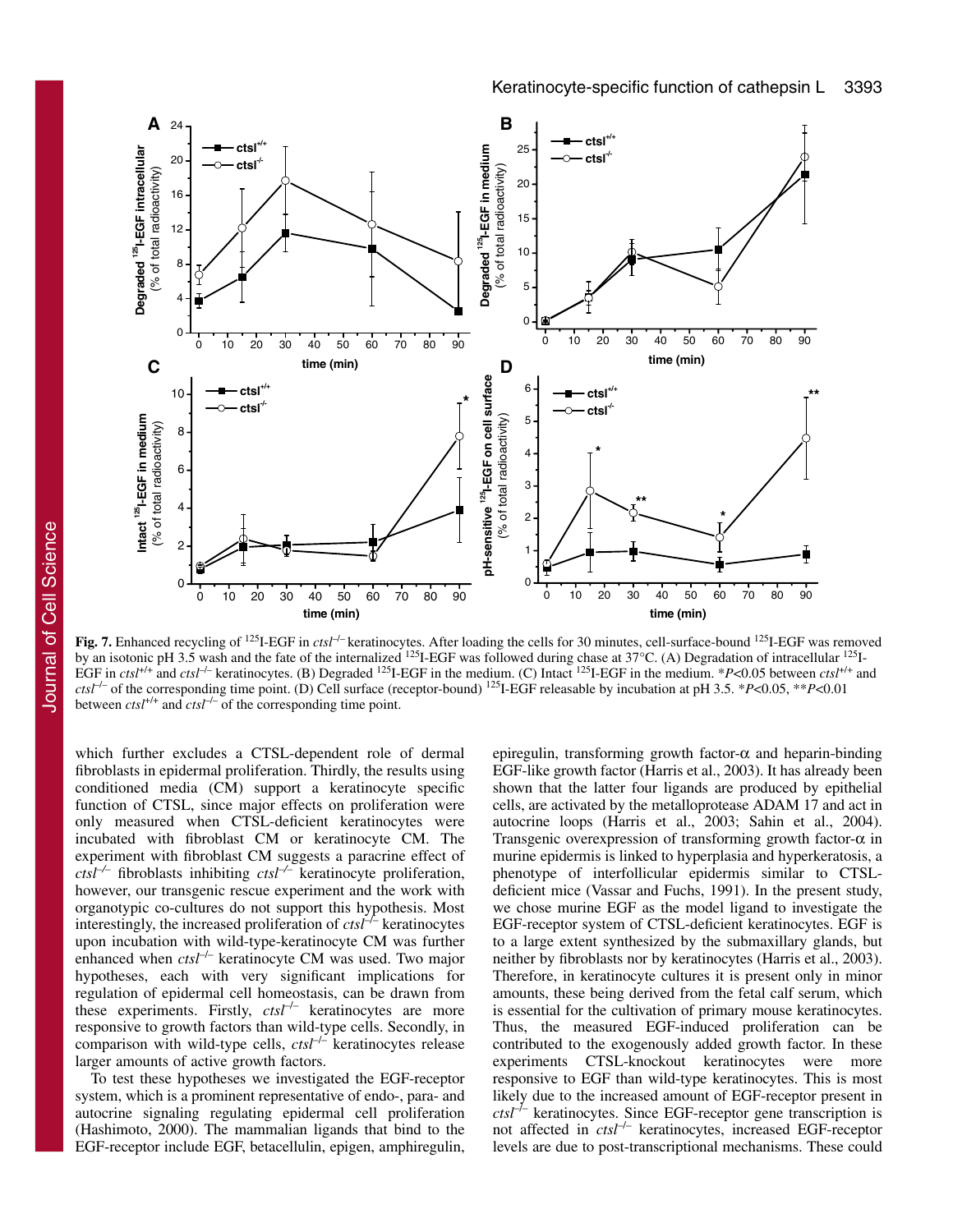

Fig. 7. Enhanced recycling of <sup>125</sup>I-EGF in *ctsl<sup>-/-</sup>* keratinocytes. After loading the cells for 30 minutes, cell-surface-bound <sup>125</sup>I-EGF was removed by an isotonic pH 3.5 wash and the fate of the internalized <sup>125</sup>I-EGF was followed during chase at 37°C. (A) Degradation of intracellular <sup>125</sup>I-EGF in *ctsl*<sup>+/+</sup> and *ctsl*<sup>-/-</sup> keratinocytes. (B) Degraded <sup>125</sup>I-EGF in the medium. (C) Intact <sup>125</sup>I-EGF in the medium. \**P*<0.05 between *ctsl*<sup>+/+</sup> and *ctsl*–/– of the corresponding time point. (D) Cell surface (receptor-bound) 125I-EGF releasable by incubation at pH 3.5. \**P*<0.05, \*\**P*<0.01 between  $\text{ctsl}^{+/+}$  and  $\text{ctsl}^{-/-}$  of the corresponding time point.

which further excludes a CTSL-dependent role of dermal fibroblasts in epidermal proliferation. Thirdly, the results using conditioned media (CM) support a keratinocyte specific function of CTSL, since major effects on proliferation were only measured when CTSL-deficient keratinocytes were incubated with fibroblast CM or keratinocyte CM. The experiment with fibroblast CM suggests a paracrine effect of *ctsl–/–* fibroblasts inhibiting *ctsl–/–* keratinocyte proliferation, however, our transgenic rescue experiment and the work with organotypic co-cultures do not support this hypothesis. Most interestingly, the increased proliferation of *ctsl*–/– keratinocytes upon incubation with wild-type-keratinocyte CM was further enhanced when *ctsl<sup>-/-</sup>* keratinocyte CM was used. Two major hypotheses, each with very significant implications for regulation of epidermal cell homeostasis, can be drawn from these experiments. Firstly, *ctsl*–/– keratinocytes are more responsive to growth factors than wild-type cells. Secondly, in comparison with wild-type cells, *ctsl*–/– keratinocytes release larger amounts of active growth factors.

To test these hypotheses we investigated the EGF-receptor system, which is a prominent representative of endo-, para- and autocrine signaling regulating epidermal cell proliferation (Hashimoto, 2000). The mammalian ligands that bind to the EGF-receptor include EGF, betacellulin, epigen, amphiregulin, epiregulin, transforming growth factor- $\alpha$  and heparin-binding EGF-like growth factor (Harris et al., 2003). It has already been shown that the latter four ligands are produced by epithelial cells, are activated by the metalloprotease ADAM 17 and act in autocrine loops (Harris et al., 2003; Sahin et al., 2004). Transgenic overexpression of transforming growth factor- $\alpha$  in murine epidermis is linked to hyperplasia and hyperkeratosis, a phenotype of interfollicular epidermis similar to CTSLdeficient mice (Vassar and Fuchs, 1991). In the present study, we chose murine EGF as the model ligand to investigate the EGF-receptor system of CTSL-deficient keratinocytes. EGF is to a large extent synthesized by the submaxillary glands, but neither by fibroblasts nor by keratinocytes (Harris et al., 2003). Therefore, in keratinocyte cultures it is present only in minor amounts, these being derived from the fetal calf serum, which is essential for the cultivation of primary mouse keratinocytes. Thus, the measured EGF-induced proliferation can be contributed to the exogenously added growth factor. In these experiments CTSL-knockout keratinocytes were more responsive to EGF than wild-type keratinocytes. This is most likely due to the increased amount of EGF-receptor present in  $\frac{cts}{t}$ <sup>-*l*</sup> keratinocytes. Since EGF-receptor gene transcription is not affected in *ctsl*–/– keratinocytes, increased EGF-receptor levels are due to post-transcriptional mechanisms. These could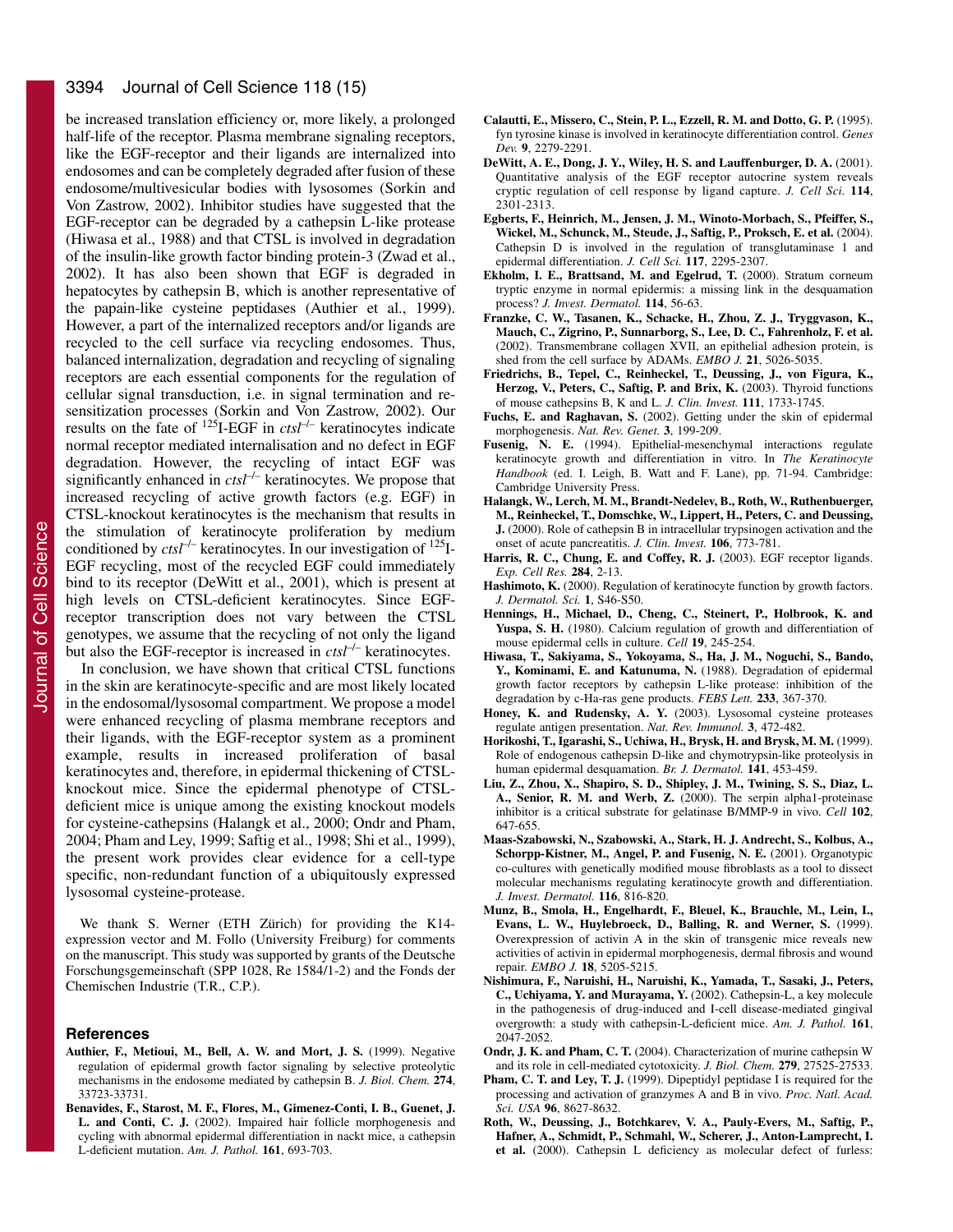#### 3394 Journal of Cell Science 118 (15)

be increased translation efficiency or, more likely, a prolonged half-life of the receptor. Plasma membrane signaling receptors, like the EGF-receptor and their ligands are internalized into endosomes and can be completely degraded after fusion of these endosome/multivesicular bodies with lysosomes (Sorkin and Von Zastrow, 2002). Inhibitor studies have suggested that the EGF-receptor can be degraded by a cathepsin L-like protease (Hiwasa et al., 1988) and that CTSL is involved in degradation of the insulin-like growth factor binding protein-3 (Zwad et al., 2002). It has also been shown that EGF is degraded in hepatocytes by cathepsin B, which is another representative of the papain-like cysteine peptidases (Authier et al., 1999). However, a part of the internalized receptors and/or ligands are recycled to the cell surface via recycling endosomes. Thus, balanced internalization, degradation and recycling of signaling receptors are each essential components for the regulation of cellular signal transduction, i.e. in signal termination and resensitization processes (Sorkin and Von Zastrow, 2002). Our results on the fate of 125I-EGF in *ctsl*–/– keratinocytes indicate normal receptor mediated internalisation and no defect in EGF degradation. However, the recycling of intact EGF was significantly enhanced in *ctsl<sup>-/-</sup>* keratinocytes. We propose that increased recycling of active growth factors (e.g. EGF) in CTSL-knockout keratinocytes is the mechanism that results in the stimulation of keratinocyte proliferation by medium conditioned by *ctsl*–/– keratinocytes. In our investigation of 125I-EGF recycling, most of the recycled EGF could immediately bind to its receptor (DeWitt et al., 2001), which is present at high levels on CTSL-deficient keratinocytes. Since EGFreceptor transcription does not vary between the CTSL genotypes, we assume that the recycling of not only the ligand but also the EGF-receptor is increased in *ctsl<sup>-/–</sup>* keratinocytes.

In conclusion, we have shown that critical CTSL functions in the skin are keratinocyte-specific and are most likely located in the endosomal/lysosomal compartment. We propose a model were enhanced recycling of plasma membrane receptors and their ligands, with the EGF-receptor system as a prominent example, results in increased proliferation of basal keratinocytes and, therefore, in epidermal thickening of CTSLknockout mice. Since the epidermal phenotype of CTSLdeficient mice is unique among the existing knockout models for cysteine-cathepsins (Halangk et al., 2000; Ondr and Pham, 2004; Pham and Ley, 1999; Saftig et al., 1998; Shi et al., 1999), the present work provides clear evidence for a cell-type specific, non-redundant function of a ubiquitously expressed lysosomal cysteine-protease.

We thank S. Werner (ETH Zürich) for providing the K14 expression vector and M. Follo (University Freiburg) for comments on the manuscript. This study was supported by grants of the Deutsche Forschungsgemeinschaft (SPP 1028, Re 1584/1-2) and the Fonds der Chemischen Industrie (T.R., C.P.).

#### **References**

- **Authier, F., Metioui, M., Bell, A. W. and Mort, J. S.** (1999). Negative regulation of epidermal growth factor signaling by selective proteolytic mechanisms in the endosome mediated by cathepsin B. *J. Biol. Chem.* **274**, 33723-33731.
- **Benavides, F., Starost, M. F., Flores, M., Gimenez-Conti, I. B., Guenet, J. L. and Conti, C. J.** (2002). Impaired hair follicle morphogenesis and cycling with abnormal epidermal differentiation in nackt mice, a cathepsin L-deficient mutation. *Am. J. Pathol.* **161**, 693-703.
- **Calautti, E., Missero, C., Stein, P. L., Ezzell, R. M. and Dotto, G. P.** (1995). fyn tyrosine kinase is involved in keratinocyte differentiation control. *Genes Dev.* **9**, 2279-2291.
- **DeWitt, A. E., Dong, J. Y., Wiley, H. S. and Lauffenburger, D. A.** (2001). Quantitative analysis of the EGF receptor autocrine system reveals cryptic regulation of cell response by ligand capture. *J. Cell Sci.* **114**, 2301-2313.
- **Egberts, F., Heinrich, M., Jensen, J. M., Winoto-Morbach, S., Pfeiffer, S., Wickel, M., Schunck, M., Steude, J., Saftig, P., Proksch, E. et al.** (2004). Cathepsin D is involved in the regulation of transglutaminase 1 and epidermal differentiation. *J. Cell Sci.* **117**, 2295-2307.
- **Ekholm, I. E., Brattsand, M. and Egelrud, T.** (2000). Stratum corneum tryptic enzyme in normal epidermis: a missing link in the desquamation process? *J. Invest. Dermatol.* **114**, 56-63.
- **Franzke, C. W., Tasanen, K., Schacke, H., Zhou, Z. J., Tryggvason, K., Mauch, C., Zigrino, P., Sunnarborg, S., Lee, D. C., Fahrenholz, F. et al.** (2002). Transmembrane collagen XVII, an epithelial adhesion protein, is shed from the cell surface by ADAMs. *EMBO J.* **21**, 5026-5035.
- **Friedrichs, B., Tepel, C., Reinheckel, T., Deussing, J., von Figura, K., Herzog, V., Peters, C., Saftig, P. and Brix, K.** (2003). Thyroid functions of mouse cathepsins B, K and L. *J. Clin. Invest.* **111**, 1733-1745.
- **Fuchs, E. and Raghavan, S.** (2002). Getting under the skin of epidermal morphogenesis. *Nat. Rev. Genet.* **3**, 199-209.
- **Fusenig, N. E.** (1994). Epithelial-mesenchymal interactions regulate keratinocyte growth and differentiation in vitro. In *The Keratinocyte Handbook* (ed. I. Leigh, B. Watt and F. Lane), pp. 71-94. Cambridge: Cambridge University Press.
- **Halangk, W., Lerch, M. M., Brandt-Nedelev, B., Roth, W., Ruthenbuerger, M., Reinheckel, T., Domschke, W., Lippert, H., Peters, C. and Deussing, J.** (2000). Role of cathepsin B in intracellular trypsinogen activation and the onset of acute pancreatitis. *J. Clin. Invest.* **106**, 773-781.
- Harris, R. C., Chung, E. and Coffey, R. J. (2003). EGF receptor ligands. *Exp. Cell Res.* **284**, 2-13.
- Hashimoto, K. (2000). Regulation of keratinocyte function by growth factors. *J. Dermatol. Sci.* **1**, S46-S50.
- **Hennings, H., Michael, D., Cheng, C., Steinert, P., Holbrook, K. and Yuspa, S. H.** (1980). Calcium regulation of growth and differentiation of mouse epidermal cells in culture. *Cell* **19**, 245-254.
- **Hiwasa, T., Sakiyama, S., Yokoyama, S., Ha, J. M., Noguchi, S., Bando, Y., Kominami, E. and Katunuma, N.** (1988). Degradation of epidermal growth factor receptors by cathepsin L-like protease: inhibition of the degradation by c-Ha-ras gene products. *FEBS Lett.* **233**, 367-370.
- Honey, K. and Rudensky, A. Y. (2003). Lysosomal cysteine proteases regulate antigen presentation. *Nat. Rev. Immunol.* **3**, 472-482.
- **Horikoshi, T., Igarashi, S., Uchiwa, H., Brysk, H. and Brysk, M. M.** (1999). Role of endogenous cathepsin D-like and chymotrypsin-like proteolysis in human epidermal desquamation. *Br. J. Dermatol.* **141**, 453-459.
- **Liu, Z., Zhou, X., Shapiro, S. D., Shipley, J. M., Twining, S. S., Diaz, L. A., Senior, R. M. and Werb, Z.** (2000). The serpin alpha1-proteinase inhibitor is a critical substrate for gelatinase B/MMP-9 in vivo. *Cell* **102**, 647-655.
- **Maas-Szabowski, N., Szabowski, A., Stark, H. J. Andrecht, S., Kolbus, A., Schorpp-Kistner, M., Angel, P. and Fusenig, N. E.** (2001). Organotypic co-cultures with genetically modified mouse fibroblasts as a tool to dissect molecular mechanisms regulating keratinocyte growth and differentiation. *J. Invest. Dermatol.* **116**, 816-820.
- **Munz, B., Smola, H., Engelhardt, F., Bleuel, K., Brauchle, M., Lein, I., Evans, L. W., Huylebroeck, D., Balling, R. and Werner, S.** (1999). Overexpression of activin A in the skin of transgenic mice reveals new activities of activin in epidermal morphogenesis, dermal fibrosis and wound repair. *EMBO J.* **18**, 5205-5215.
- **Nishimura, F., Naruishi, H., Naruishi, K., Yamada, T., Sasaki, J., Peters, C., Uchiyama, Y. and Murayama, Y.** (2002). Cathepsin-L, a key molecule in the pathogenesis of drug-induced and I-cell disease-mediated gingival overgrowth: a study with cathepsin-L-deficient mice. *Am. J. Pathol.* **161**, 2047-2052.
- **Ondr, J. K. and Pham, C. T.** (2004). Characterization of murine cathepsin W and its role in cell-mediated cytotoxicity. *J. Biol. Chem.* **279**, 27525-27533.
- Pham, C. T. and Ley, T. J. (1999). Dipeptidyl peptidase I is required for the processing and activation of granzymes A and B in vivo. *Proc. Natl. Acad. Sci. USA* **96**, 8627-8632.
- **Roth, W., Deussing, J., Botchkarev, V. A., Pauly-Evers, M., Saftig, P., Hafner, A., Schmidt, P., Schmahl, W., Scherer, J., Anton-Lamprecht, I. et al.** (2000). Cathepsin L deficiency as molecular defect of furless: